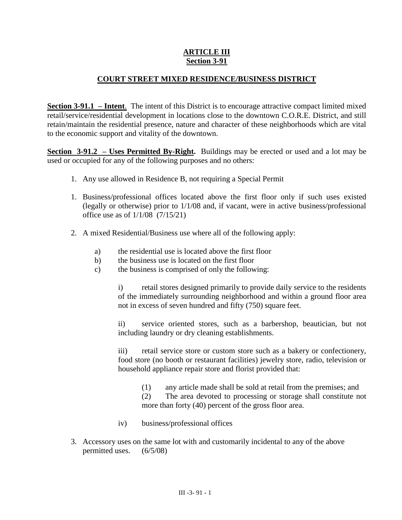## **III-91-1 ARTICLE III Section 3-91**

## **COURT STREET MIXED RESIDENCE/BUSINESS DISTRICT**

**Section 3-91.1 – Intent**. The intent of this District is to encourage attractive compact limited mixed retail/service/residential development in locations close to the downtown C.O.R.E. District, and still retain/maintain the residential presence, nature and character of these neighborhoods which are vital to the economic support and vitality of the downtown.

**Section 3-91.2 – Uses Permitted By-Right.** Buildings may be erected or used and a lot may be used or occupied for any of the following purposes and no others:

- 1. Any use allowed in Residence B, not requiring a Special Permit
- 1. Business/professional offices located above the first floor only if such uses existed (legally or otherwise) prior to 1/1/08 and, if vacant, were in active business/professional office use as of 1/1/08 (7/15/21)
- 2. A mixed Residential/Business use where all of the following apply:
	- a) the residential use is located above the first floor
	- b) the business use is located on the first floor
	- c) the business is comprised of only the following:

i) retail stores designed primarily to provide daily service to the residents of the immediately surrounding neighborhood and within a ground floor area not in excess of seven hundred and fifty (750) square feet.

ii) service oriented stores, such as a barbershop, beautician, but not including laundry or dry cleaning establishments.

iii) retail service store or custom store such as a bakery or confectionery, food store (no booth or restaurant facilities) jewelry store, radio, television or household appliance repair store and florist provided that:

(1) any article made shall be sold at retail from the premises; and

(2) The area devoted to processing or storage shall constitute not more than forty (40) percent of the gross floor area.

- iv) business/professional offices
- 3. Accessory uses on the same lot with and customarily incidental to any of the above permitted uses. (6/5/08)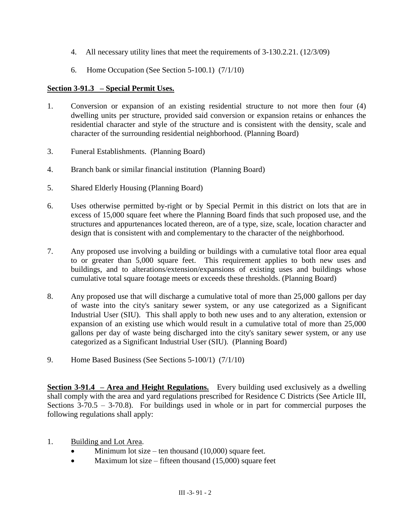- 4. All necessary utility lines that meet the requirements of 3-130.2.21. (12/3/09)
- 6. Home Occupation (See Section 5-100.1) (7/1/10)

## **Section 3-91.3 – Special Permit Uses.**

- 1. Conversion or expansion of an existing residential structure to not more then four (4) dwelling units per structure, provided said conversion or expansion retains or enhances the residential character and style of the structure and is consistent with the density, scale and character of the surrounding residential neighborhood. (Planning Board)
- 3. Funeral Establishments. (Planning Board)
- 4. Branch bank or similar financial institution (Planning Board)
- 5. Shared Elderly Housing (Planning Board)
- 6. Uses otherwise permitted by-right or by Special Permit in this district on lots that are in excess of 15,000 square feet where the Planning Board finds that such proposed use, and the structures and appurtenances located thereon, are of a type, size, scale, location character and design that is consistent with and complementary to the character of the neighborhood.
- 7. Any proposed use involving a building or buildings with a cumulative total floor area equal to or greater than 5,000 square feet. This requirement applies to both new uses and buildings, and to alterations/extension/expansions of existing uses and buildings whose cumulative total square footage meets or exceeds these thresholds. (Planning Board)
- 8. Any proposed use that will discharge a cumulative total of more than 25,000 gallons per day of waste into the city's sanitary sewer system, or any use categorized as a Significant Industrial User (SIU). This shall apply to both new uses and to any alteration, extension or expansion of an existing use which would result in a cumulative total of more than 25,000 gallons per day of waste being discharged into the city's sanitary sewer system, or any use categorized as a Significant Industrial User (SIU). (Planning Board)
- 9. Home Based Business (See Sections 5-100/1) (7/1/10)

**Section 3-91.4 – Area and Height Regulations.** Every building used exclusively as a dwelling shall comply with the area and yard regulations prescribed for Residence C Districts (See Article III, Sections  $3-70.5 - 3-70.8$ ). For buildings used in whole or in part for commercial purposes the following regulations shall apply:

- 1. Building and Lot Area.
	- Minimum lot size ten thousand (10,000) square feet.
	- $\bullet$  Maximum lot size fifteen thousand (15,000) square feet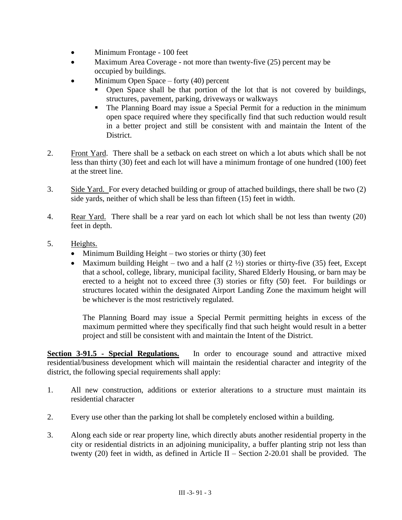- Minimum Frontage 100 feet
- Maximum Area Coverage not more than twenty-five (25) percent may be occupied by buildings.
- Minimum Open Space forty (40) percent
	- Open Space shall be that portion of the lot that is not covered by buildings, structures, pavement, parking, driveways or walkways
	- The Planning Board may issue a Special Permit for a reduction in the minimum open space required where they specifically find that such reduction would result in a better project and still be consistent with and maintain the Intent of the District.
- 2. Front Yard. There shall be a setback on each street on which a lot abuts which shall be not less than thirty (30) feet and each lot will have a minimum frontage of one hundred (100) feet at the street line.
- 3. Side Yard. For every detached building or group of attached buildings, there shall be two (2) side yards, neither of which shall be less than fifteen (15) feet in width.
- 4. Rear Yard. There shall be a rear yard on each lot which shall be not less than twenty (20) feet in depth.
- 5. Heights.
	- Minimum Building Height two stories or thirty  $(30)$  feet
	- Maximum building Height two and a half  $(2 \frac{1}{2})$  stories or thirty-five (35) feet, Except that a school, college, library, municipal facility, Shared Elderly Housing, or barn may be erected to a height not to exceed three (3) stories or fifty (50) feet. For buildings or structures located within the designated Airport Landing Zone the maximum height will be whichever is the most restrictively regulated.

The Planning Board may issue a Special Permit permitting heights in excess of the maximum permitted where they specifically find that such height would result in a better project and still be consistent with and maintain the Intent of the District.

**Section 3-91.5 - Special Regulations.** In order to encourage sound and attractive mixed residential/business development which will maintain the residential character and integrity of the district, the following special requirements shall apply:

- 1. All new construction, additions or exterior alterations to a structure must maintain its residential character
- 2. Every use other than the parking lot shall be completely enclosed within a building.
- 3. Along each side or rear property line, which directly abuts another residential property in the city or residential districts in an adjoining municipality, a buffer planting strip not less than twenty (20) feet in width, as defined in Article II – Section 2-20.01 shall be provided. The